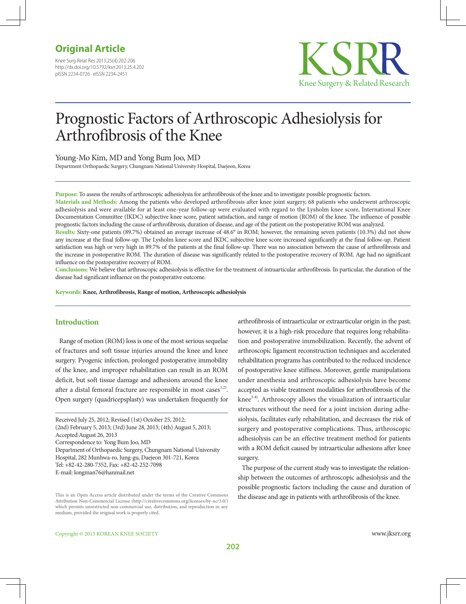Knee Surg Relat Res 2013;25(4):202-206 http://dx.doi.org/10.5792/ksrr.2013.25.4.202 pISSN 2234-0726 · eISSN 2234-2451



# Prognostic Factors of Arthroscopic Adhesiolysis for Arthrofibrosis of the Knee

Young-Mo Kim, MD and Yong Bum Joo, MD

Department Orthopaedic Surgery, Chungnam National University Hospital, Daejeon, Korea

**Purpose:** To assess the results of arthroscopic adhesiolysis for arthrofibrosis of the knee and to investigate possible prognostic factors.

**Materials and Methods:** Among the patients who developed arthrofibrosis after knee joint surgery, 68 patients who underwent arthroscopic adhesiolysis and were available for at least one-year follow-up were evaluated with regard to the Lysholm knee score, International Knee Documentation Committee (IKDC) subjective knee score, patient satisfaction, and range of motion (ROM) of the knee. The influence of possible prognostic factors including the cause of arthrofibrosis, duration of disease, and age of the patient on the postoperative ROM was analyzed.

**Results:** Sixty-one patients (89.7%) obtained an average increase of 48.6° in ROM; however, the remaining seven patients (10.3%) did not show any increase at the final follow-up. The Lysholm knee score and IKDC subjective knee score increased significantly at the final follow-up. Patient satisfaction was high or very high in 89.7% of the patients at the final follow-up. There was no association between the cause of arthrofibrosis and the increase in postoperative ROM. The duration of disease was significantly related to the postoperative recovery of ROM. Age had no significant influence on the postoperative recovery of ROM.

**Conclusions:** We believe that arthroscopic adhesiolysis is effective for the treatment of intraarticular arthrofibrosis. In particular, the duration of the disease had significant influence on the postoperative outcome.

**Keywords: Knee, Arthrofibrosis, Range of motion, Arthroscopic adhesiolysis**

## **Introduction**

Range of motion (ROM) loss is one of the most serious sequelae of fractures and soft tissue injuries around the knee and knee surgery. Pyogenic infection, prolonged postoperative immobility of the knee, and improper rehabilitation can result in an ROM deficit, but soft tissue damage and adhesions around the knee after a distal femoral fracture are responsible in most cases<sup>1,2)</sup>. Open surgery (quadricepsplasty) was undertaken frequently for

E-mail: longman76@hanmail.net

arthrofibrosis of intraarticular or extraarticular origin in the past; however, it is a high-risk procedure that requires long rehabilitation and postoperative immobilization. Recently, the advent of arthroscopic ligament reconstruction techniques and accelerated rehabilitation programs has contributed to the reduced incidence of postoperative knee stiffness. Moreover, gentle manipulations under anesthesia and arthroscopic adhesiolysis have become accepted as viable treatment modalities for arthrofibrosis of the  $knee<sup>3-8</sup>$ . Arthroscopy allows the visualization of intraarticular structures without the need for a joint incision during adhesiolysis, facilitates early rehabilitation, and decreases the risk of surgery and postoperative complications. Thus, arthroscopic adhesiolysis can be an effective treatment method for patients with a ROM deficit caused by intraarticular adhesions after knee surgery.

The purpose of the current study was to investigate the relationship between the outcomes of arthroscopic adhesiolysis and the possible prognostic factors including the cause and duration of the disease and age in patients with arthrofibrosis of the knee.

Received July 25, 2012; Revised (1st) October 25, 2012; (2nd) February 5, 2013; (3rd) June 28, 2013; (4th) August 5, 2013; Accepted August 26, 2013 Correspondence to: Yong Bum Joo, MD Department of Orthopaedic Surgery, Chungnam National University Hospital, 282 Munhwa-ro, Jung-gu, Daejeon 301-721, Korea Tel: +82-42-280-7352, Fax: +82-42-252-7098

This is an Open Access article distributed under the terms of the Creative Commons Attribution Non-Commercial License (http://creativecommons.org/licenses/by-nc/3.0/) which permits unrestricted non-commercial use, distribution, and reproduction in any medium, provided the original work is properly cited.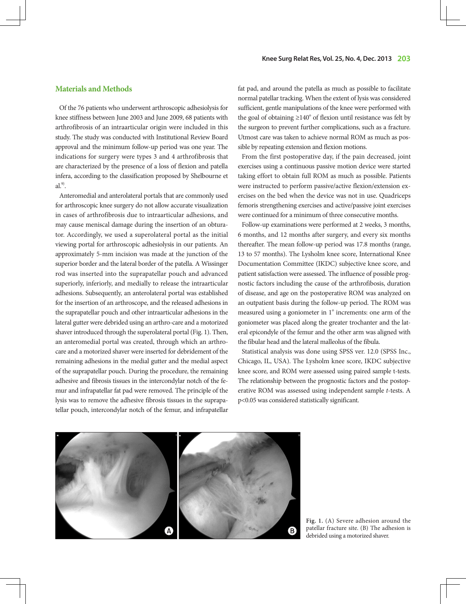## **Materials and Methods**

Of the 76 patients who underwent arthroscopic adhesiolysis for knee stiffness between June 2003 and June 2009, 68 patients with arthrofibrosis of an intraarticular origin were included in this study. The study was conducted with Institutional Review Board approval and the minimum follow-up period was one year. The indications for surgery were types 3 and 4 arthrofibrosis that are characterized by the presence of a loss of flexion and patella infera, according to the classification proposed by Shelbourne et  $al.^{9)}$ .

Anteromedial and anterolateral portals that are commonly used for arthroscopic knee surgery do not allow accurate visualization in cases of arthrofibrosis due to intraarticular adhesions, and may cause meniscal damage during the insertion of an obturator. Accordingly, we used a superolateral portal as the initial viewing portal for arthroscopic adhesiolysis in our patients. An approximately 5-mm incision was made at the junction of the superior border and the lateral border of the patella. A Wissinger rod was inserted into the suprapatellar pouch and advanced superiorly, inferiorly, and medially to release the intraarticular adhesions. Subsequently, an anterolateral portal was established for the insertion of an arthroscope, and the released adhesions in the suprapatellar pouch and other intraarticular adhesions in the lateral gutter were debrided using an arthro-care and a motorized shaver introduced through the superolateral portal (Fig. 1). Then, an anteromedial portal was created, through which an arthrocare and a motorized shaver were inserted for debridement of the remaining adhesions in the medial gutter and the medial aspect of the suprapatellar pouch. During the procedure, the remaining adhesive and fibrosis tissues in the intercondylar notch of the femur and infrapatellar fat pad were removed. The principle of the lysis was to remove the adhesive fibrosis tissues in the suprapatellar pouch, intercondylar notch of the femur, and infrapatellar fat pad, and around the patella as much as possible to facilitate normal patellar tracking. When the extent of lysis was considered sufficient, gentle manipulations of the knee were performed with the goal of obtaining  $\geq$ 140 $^{\circ}$  of flexion until resistance was felt by the surgeon to prevent further complications, such as a fracture. Utmost care was taken to achieve normal ROM as much as possible by repeating extension and flexion motions.

From the first postoperative day, if the pain decreased, joint exercises using a continuous passive motion device were started taking effort to obtain full ROM as much as possible. Patients were instructed to perform passive/active flexion/extension exercises on the bed when the device was not in use. Quadriceps femoris strengthening exercises and active/passive joint exercises were continued for a minimum of three consecutive months.

Follow-up examinations were performed at 2 weeks, 3 months, 6 months, and 12 months after surgery, and every six months thereafter. The mean follow-up period was 17.8 months (range, 13 to 57 months). The Lysholm knee score, International Knee Documentation Committee (IKDC) subjective knee score, and patient satisfaction were assessed. The influence of possible prognostic factors including the cause of the arthrofibosis, duration of disease, and age on the postoperative ROM was analyzed on an outpatient basis during the follow-up period. The ROM was measured using a goniometer in 1° increments: one arm of the goniometer was placed along the greater trochanter and the lateral epicondyle of the femur and the other arm was aligned with the fibular head and the lateral malleolus of the fibula.

Statistical analysis was done using SPSS ver. 12.0 (SPSS Inc., Chicago, IL, USA). The Lysholm knee score, IKDC subjective knee score, and ROM were assessed using paired sample t-tests. The relationship between the prognostic factors and the postoperative ROM was assessed using independent sample *t*-tests. A p<0.05 was considered statistically significant.



**Fig. 1.** (A) Severe adhesion around the patellar fracture site. (B) The adhesion is debrided using a motorized shaver.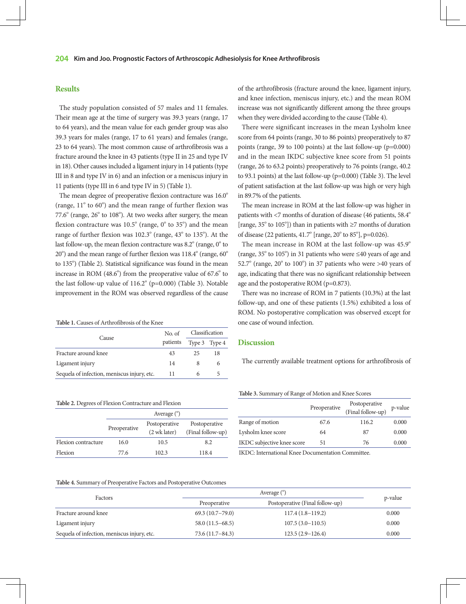#### **Results**

The study population consisted of 57 males and 11 females. Their mean age at the time of surgery was 39.3 years (range, 17 to 64 years), and the mean value for each gender group was also 39.3 years for males (range, 17 to 61 years) and females (range, 23 to 64 years). The most common cause of arthrofibrosis was a fracture around the knee in 43 patients (type II in 25 and type IV in 18). Other causes included a ligament injury in 14 patients (type III in 8 and type IV in 6) and an infection or a meniscus injury in 11 patients (type III in 6 and type IV in 5) (Table 1).

The mean degree of preoperative flexion contracture was  $16.0^\circ$ (range,  $11^{\circ}$  to  $60^{\circ}$ ) and the mean range of further flexion was 77.6 $^{\circ}$  (range, 26 $^{\circ}$  to 108 $^{\circ}$ ). At two weeks after surgery, the mean flexion contracture was  $10.5^{\circ}$  (range,  $0^{\circ}$  to  $35^{\circ}$ ) and the mean range of further flexion was 102.3° (range, 43° to 135°). At the last follow-up, the mean flexion contracture was  $8.2^{\circ}$  (range,  $0^{\circ}$  to  $20^{\circ}$ ) and the mean range of further flexion was 118.4 $^{\circ}$  (range,  $60^{\circ}$ to 135°) (Table 2). Statistical significance was found in the mean increase in ROM (48.6°) from the preoperative value of 67.6° to the last follow-up value of  $116.2^\circ$  (p=0.000) (Table 3). Notable improvement in the ROM was observed regardless of the cause

#### **Table 1.** Causes of Arthrofibrosis of the Knee

| Cause                                       | No. of   | Classification |               |
|---------------------------------------------|----------|----------------|---------------|
|                                             | patients |                | Type 3 Type 4 |
| Fracture around knee                        | 43       | 25             | 18            |
| Ligament injury                             | 14       |                |               |
| Sequela of infection, meniscus injury, etc. | 11       |                |               |

| Table 2. Degrees of Flexion Contracture and Flexion |  |
|-----------------------------------------------------|--|
|-----------------------------------------------------|--|

|                     | Average $(^\circ)$ |                                         |                                    |  |
|---------------------|--------------------|-----------------------------------------|------------------------------------|--|
|                     | Preoperative       | Postoperative<br>$(2 \text{ wk later})$ | Postoperative<br>(Final follow-up) |  |
| Flexion contracture | 16.0               | 10.5                                    | 8.2                                |  |
| Flexion             | 77.6               | 102.3                                   | 118.4                              |  |

#### **Table 4.** Summary of Preoperative Factors and Postoperative Outcomes

| Factors                                     | Average $(^\circ)$  |                                 | p-value |
|---------------------------------------------|---------------------|---------------------------------|---------|
|                                             | Preoperative        | Postoperative (Final follow-up) |         |
| Fracture around knee                        | $69.3(10.7-79.0)$   | $117.4(1.8-119.2)$              | 0.000   |
| Ligament injury                             | $58.0(11.5-68.5)$   | $107.5(3.0-110.5)$              | 0.000   |
| Sequela of infection, meniscus injury, etc. | $73.6(11.7 - 84.3)$ | $123.5(2.9-126.4)$              | 0.000   |

of the arthrofibrosis (fracture around the knee, ligament injury, and knee infection, meniscus injury, etc.) and the mean ROM increase was not significantly different among the three groups when they were divided according to the cause (Table 4).

There were significant increases in the mean Lysholm knee score from 64 points (range, 30 to 86 points) preoperatively to 87 points (range, 39 to 100 points) at the last follow-up (p=0.000) and in the mean IKDC subjective knee score from 51 points (range, 26 to 63.2 points) preoperatively to 76 points (range, 40.2 to 93.1 points) at the last follow-up (p=0.000) (Table 3). The level of patient satisfaction at the last follow-up was high or very high in 89.7% of the patients.

The mean increase in ROM at the last follow-up was higher in patients with  $\langle 7 \rangle$  months of duration of disease (46 patients, 58.4 $\degree$ [range,  $35^{\circ}$  to  $105^{\circ}$ ]) than in patients with ≥7 months of duration of disease (22 patients, 41.7° [range, 20° to 85°], p=0.026).

The mean increase in ROM at the last follow-up was  $45.9^\circ$ (range,  $35^{\circ}$  to  $105^{\circ}$ ) in 31 patients who were  $\leq 40$  years of age and 52.7 $^{\circ}$  (range, 20 $^{\circ}$  to 100 $^{\circ}$ ) in 37 patients who were >40 years of age, indicating that there was no significant relationship between age and the postoperative ROM (p=0.873).

There was no increase of ROM in 7 patients (10.3%) at the last follow-up, and one of these patients (1.5%) exhibited a loss of ROM. No postoperative complication was observed except for one case of wound infection.

#### **Discussion**

The currently available treatment options for arthrofibrosis of

#### **Table 3.** Summary of Range of Motion and Knee Scores

|                            | Preoperative | Postoperative<br>(Final follow-up) | p-value |
|----------------------------|--------------|------------------------------------|---------|
| Range of motion            | 67.6         | 116.2                              | 0.000   |
| Lysholm knee score         | 64           | 87                                 | 0.000   |
| IKDC subjective knee score | 51           | 76                                 | 0.000   |

IKDC: International Knee Documentation Committee.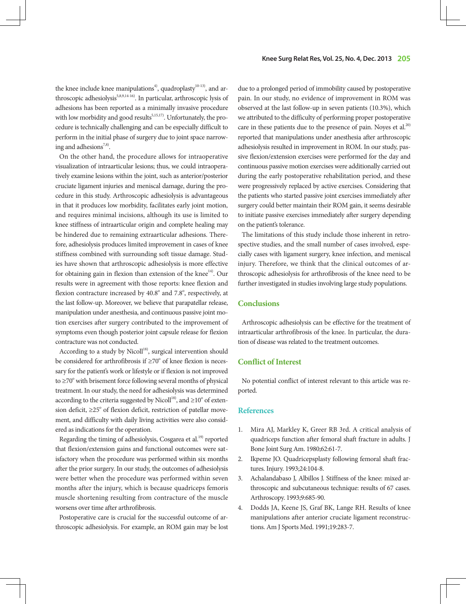the knee include knee manipulations<sup>4)</sup>, quadroplasty<sup>10-13)</sup>, and arthroscopic adhesiolysis<sup>5,8,9,14-16)</sup>. In particular, arthroscopic lysis of adhesions has been reported as a minimally invasive procedure with low morbidity and good results<sup>5,15,17)</sup>. Unfortunately, the procedure is technically challenging and can be especially difficult to perform in the initial phase of surgery due to joint space narrowing and adhesions<sup>7,8)</sup>.

On the other hand, the procedure allows for intraoperative visualization of intraarticular lesions; thus, we could intraoperatively examine lesions within the joint, such as anterior/posterior cruciate ligament injuries and meniscal damage, during the procedure in this study. Arthroscopic adhesiolysis is advantageous in that it produces low morbidity, facilitates early joint motion, and requires minimal incisions, although its use is limited to knee stiffness of intraarticular origin and complete healing may be hindered due to remaining extraarticular adhesions. Therefore, adhesiolysis produces limited improvement in cases of knee stiffness combined with surrounding soft tissue damage. Studies have shown that arthroscopic adhesiolysis is more effective for obtaining gain in flexion than extension of the knee $14$ <sup>14</sup>. Our results were in agreement with those reports: knee flexion and flexion contracture increased by 40.8° and 7.8°, respectively, at the last follow-up. Moreover, we believe that parapatellar release, manipulation under anesthesia, and continuous passive joint motion exercises after surgery contributed to the improvement of symptoms even though posterior joint capsule release for flexion contracture was not conducted.

According to a study by Nicoll<sup>18)</sup>, surgical intervention should be considered for arthrofibrosis if  $\geq 70^{\circ}$  of knee flexion is necessary for the patient's work or lifestyle or if flexion is not improved to ≥70° with brisement force following several months of physical treatment. In our study, the need for adhesiolysis was determined according to the criteria suggested by Nicoll<sup>18</sup>, and  $\geq$ 10° of extension deficit,  $\geq 25^\circ$  of flexion deficit, restriction of patellar movement, and difficulty with daily living activities were also considered as indications for the operation.

Regarding the timing of adhesiolysis, Cosgarea et al.<sup>19)</sup> reported that flexion/extension gains and functional outcomes were satisfactory when the procedure was performed within six months after the prior surgery. In our study, the outcomes of adhesiolysis were better when the procedure was performed within seven months after the injury, which is because quadriceps femoris muscle shortening resulting from contracture of the muscle worsens over time after arthrofibrosis.

Postoperative care is crucial for the successful outcome of arthroscopic adhesiolysis. For example, an ROM gain may be lost due to a prolonged period of immobility caused by postoperative pain. In our study, no evidence of improvement in ROM was observed at the last follow-up in seven patients (10.3%), which we attributed to the difficulty of performing proper postoperative care in these patients due to the presence of pain. Noyes et al.<sup>20)</sup> reported that manipulations under anesthesia after arthroscopic adhesiolysis resulted in improvement in ROM. In our study, passive flexion/extension exercises were performed for the day and continuous passive motion exercises were additionally carried out during the early postoperative rehabilitation period, and these were progressively replaced by active exercises. Considering that the patients who started passive joint exercises immediately after surgery could better maintain their ROM gain, it seems desirable to initiate passive exercises immediately after surgery depending on the patient's tolerance.

The limitations of this study include those inherent in retrospective studies, and the small number of cases involved, especially cases with ligament surgery, knee infection, and meniscal injury. Therefore, we think that the clinical outcomes of arthroscopic adhesiolysis for arthrofibrosis of the knee need to be further investigated in studies involving large study populations.

# **Conclusions**

Arthroscopic adhesiolysis can be effective for the treatment of intraarticular arthrofibrosis of the knee. In particular, the duration of disease was related to the treatment outcomes.

### **Conflict of Interest**

No potential conflict of interest relevant to this article was reported.

## **References**

- 1. Mira AJ, Markley K, Greer RB 3rd. A critical analysis of quadriceps function after femoral shaft fracture in adults. J Bone Joint Surg Am. 1980;62:61-7.
- 2. Ikpeme JO. Quadricepsplasty following femoral shaft fractures. Injury. 1993;24:104-8.
- 3. Achalandabaso J, Albillos J. Stiffness of the knee: mixed arthroscopic and subcutaneous technique: results of 67 cases. Arthroscopy. 1993;9:685-90.
- 4. Dodds JA, Keene JS, Graf BK, Lange RH. Results of knee manipulations after anterior cruciate ligament reconstructions. Am J Sports Med. 1991;19:283-7.